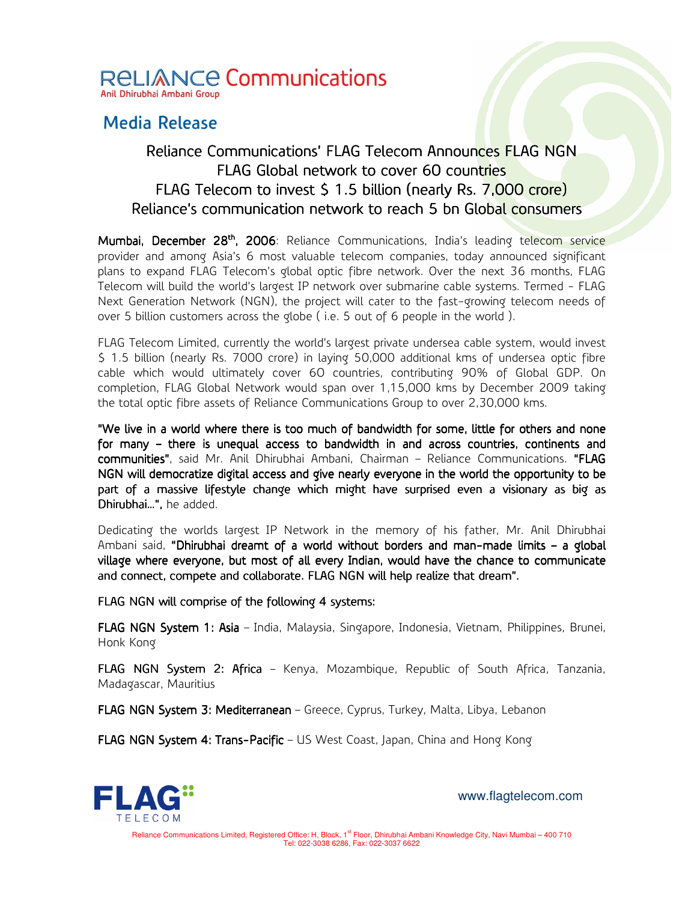

## **Media Release**

## Reliance Communications' FLAG Telecom Announces FLAG NGN FLAG Global network to cover 60 countries FLAG Telecom to invest \$ 1.5 billion (nearly Rs. 7,000 crore) Reliance's communication network to reach 5 bn Global consumers

Mumbai, December 28<sup>th</sup>, 2006: Reliance Communications, India's leading telecom service provider and among Asia's 6 most valuable telecom companies, today announced significant plans to expand FLAG Telecom's global optic fibre network. Over the next 36 months, FLAG Telecom will build the world's largest IP network over submarine cable systems. Termed - FLAG Next Generation Network (NGN), the project will cater to the fast-growing telecom needs of over 5 billion customers across the globe ( i.e. 5 out of 6 people in the world ).

FLAG Telecom Limited, currently the world's largest private undersea cable system, would invest \$ 1.5 billion (nearly Rs. 7000 crore) in laying 50,000 additional kms of undersea optic fibre cable which would ultimately cover 6O countries, contributing 90% of Global GDP. On completion, FLAG Global Network would span over 1,15,000 kms by December 2009 taking the total optic fibre assets of Reliance Communications Group to over 2,30,000 kms.

"We live in a world where there is too much of bandwidth for some, little for others and none for many – there is unequal access to bandwidth in and across countries, continents and communities", said Mr. Anil Dhirubhai Ambani, Chairman – Reliance Communications. "FLAG NGN will democratize digital access and give nearly everyone in the world the opportunity to be part of a massive lifestyle change which might have surprised even a visionary as big as Dhirubhai…", he added.

Dedicating the worlds largest IP Network in the memory of his father, Mr. Anil Dhirubhai Ambani said, "Dhirubhai dreamt of a world without borders and man-made limits - a global village where everyone, but most of all every Indian, would have the chance to communicate and connect, compete and collaborate. FLAG NGN will help realize that dream".

FLAG NGN will comprise of the following 4 systems:

FLAG NGN System 1: Asia - India, Malaysia, Singapore, Indonesia, Vietnam, Philippines, Brunei, Honk Kong

FLAG NGN System 2: Africa - Kenya, Mozambique, Republic of South Africa, Tanzania, Madagascar, Mauritius

FLAG NGN System 3: Mediterranean - Greece, Cyprus, Turkey, Malta, Libya, Lebanon

FLAG NGN System 4: Trans-Pacific - US West Coast, Japan, China and Hong Kong



www.flagtelecom.com

Reliance Communications Limited, Registered Office: H, Block, 1<sup>st</sup> Floor, Dhirubhai Ambani Knowledge City, Navi Mumbai – 400 710 Tel: 022-3038 6286, Fax: 022-3037 6622